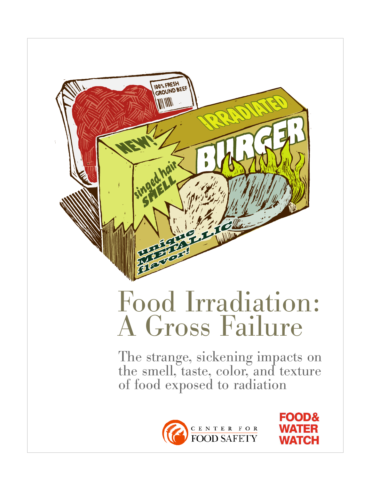

# Food Irradiation: A Gross Failure

The strange, sickening impacts on the smell, taste, color, and texture of food exposed to radiation



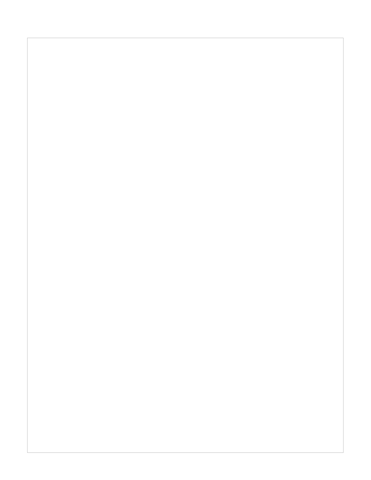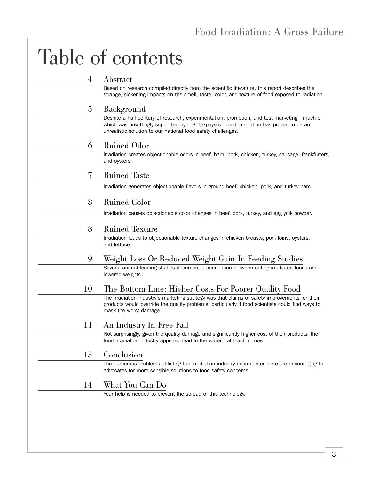## Table of contents

#### 4 Abstract

Based on research compiled directly from the scientific literature, this report describes the strange, sickening impacts on the smell, taste, color, and texture of food exposed to radiation.

#### 5 Background

Despite a half-century of research, experimentation, promotion, and test marketing—much of which was unwittingly supported by U.S. taxpayers—food irradiation has proven to be an unrealistic solution to our national food safety challenges.

#### 6 Ruined Odor

Irradiation creates objectionable odors in beef, ham, pork, chicken, turkey, sausage, frankfurters, and oysters.

#### 7 Ruined Taste

Irradiation generates objectionable flavors in ground beef, chicken, pork, and turkey ham.

#### 8 Ruined Color

Irradiation causes objectionable color changes in beef, pork, turkey, and egg yolk powder.

#### 8 Ruined Texture

Irradiation leads to objectionable texture changes in chicken breasts, pork loins, oysters, and lettuce.

#### 9 Weight Loss Or Reduced Weight Gain In Feeding Studies

Several animal feeding studies document a connection between eating irradiated foods and lowered weights.

#### 10 The Bottom Line: Higher Costs For Poorer Quality Food

The irradiation industry's marketing strategy was that claims of safety improvements for their products would override the quality problems, particularly if food scientists could find ways to mask the worst damage.

#### 11 An Industry In Free Fall

Not surprisingly, given the quality damage and significantly higher cost of their products, the food irradiation industry appears dead in the water—at least for now.

#### 13 Conclusion

The numerous problems afflicting the irradiation industry documented here are encouraging to advocates for more sensible solutions to food safety concerns.

#### 14 What You Can Do

Your help is needed to prevent the spread of this technology.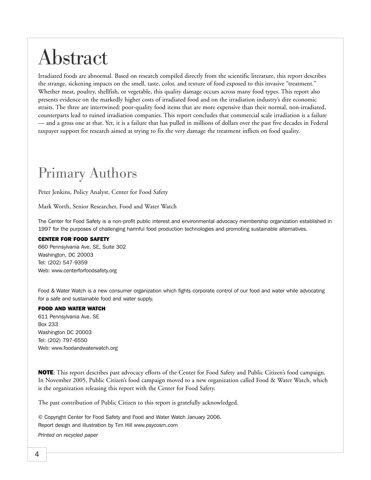## Abstract

Irradiated foods are abnormal. Based on research compiled directly from the scientific literature, this report describes the strange, sickening impacts on the smell, taste, color, and texture of food exposed to this invasive "treatment." Whether meat, poultry, shellfish, or vegetable, this quality damage occurs across many food types. This report also presents evidence on the markedly higher costs of irradiated food and on the irradiation industry's dire economic straits. The three are intertwined: poor-quality food items that are more expensive than their normal, non-irradiated, counterparts lead to ruined irradiation companies. This report concludes that commercial scale irradiation is a failure — and a gross one at that. Yet, it is a failure that has pulled in millions of dollars over the past five decades in Federal taxpayer support for research aimed at trying to fix the very damage the treatment inflicts on food quality.

### Primary Authors

Peter Jenkins, Policy Analyst, Center for Food Safety

Mark Worth, Senior Researcher, Food and Water Watch

The Center for Food Safety is a non-profit public interest and environmental advocacy membership organization established in 1997 for the purposes of challenging harmful food production technologies and promoting sustainable alternatives.

#### CENTER FOR FOOD SAFETY

660 Pennsylvania Ave. SE, Suite 302 Washington, DC 20003 Tel: (202) 547-9359 Web: www.centerforfoodsafety.org

Food & Water Watch is a new consumer organization which fights corporate control of our food and water while advocating for a safe and sustainable food and water supply.

#### FOOD AND WATER WATCH

611 Pennsylvania Ave. SE Box 233 Washington DC 20003 Tel: (202) 797-6550 Web: www.foodandwaterwatch.org

NOTE: This report describes past advocacy efforts of the Center for Food Safety and Public Citizen's food campaign. In November 2005, Public Citizen's food campaign moved to a new organization called Food & Water Watch, which is the organization releasing this report with the Center for Food Safety.

The past contribution of Public Citizen to this report is gratefully acknowledged.

© Copyright Center for Food Safety and Food and Water Watch January 2006. Report design and illustration by Tim Hill www.psycosm.com

*Printed on recycled paper*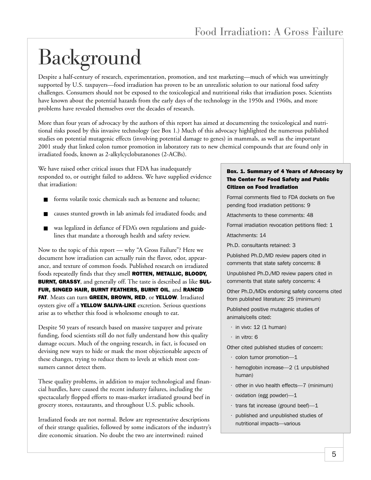# **Background**

Despite a half-century of research, experimentation, promotion, and test marketing—much of which was unwittingly supported by U.S. taxpayers—food irradiation has proven to be an unrealistic solution to our national food safety challenges. Consumers should not be exposed to the toxicological and nutritional risks that irradiation poses. Scientists have known about the potential hazards from the early days of the technology in the 1950s and 1960s, and more problems have revealed themselves over the decades of research.

More than four years of advocacy by the authors of this report has aimed at documenting the toxicological and nutritional risks posed by this invasive technology (see Box 1.) Much of this advocacy highlighted the numerous published studies on potential mutagenic effects (involving potential damage to genes) in mammals, as well as the important 2001 study that linked colon tumor promotion in laboratory rats to new chemical compounds that are found only in irradiated foods, known as 2-alkylcyclobutanones (2-ACBs).

We have raised other critical issues that FDA has inadequately responded to, or outright failed to address. We have supplied evidence that irradiation:

- forms volatile toxic chemicals such as benzene and toluene;
- causes stunted growth in lab animals fed irradiated foods; and
- was legalized in defiance of FDA's own regulations and guidelines that mandate a thorough health and safety review.

Now to the topic of this report — why "A Gross Failure"? Here we document how irradiation can actually ruin the flavor, odor, appearance, and texture of common foods. Published research on irradiated foods repeatedly finds that they smell ROTTEN, METALLIC, BLOODY, **BURNT, GRASSY**, and generally off. The taste is described as like **SUL-**FUR, SINGED HAIR, BURNT FEATHERS, BURNT OIL, and RANCID FAT. Meats can turn GREEN, BROWN, RED, or YELLOW. Irradiated oysters give off a **YELLOW SALIVA-LIKE** excretion. Serious questions arise as to whether this food is wholesome enough to eat.

Despite 50 years of research based on massive taxpayer and private funding, food scientists still do not fully understand how this quality damage occurs. Much of the ongoing research, in fact, is focused on devising new ways to hide or mask the most objectionable aspects of these changes, trying to reduce them to levels at which most consumers cannot detect them.

These quality problems, in addition to major technological and financial hurdles, have caused the recent industry failures, including the spectacularly flopped efforts to mass-market irradiated ground beef in grocery stores, restaurants, and throughout U.S. public schools.

Irradiated foods are not normal. Below are representative descriptions of their strange qualities, followed by some indicators of the industry's dire economic situation. No doubt the two are intertwined: ruined

#### Box. 1. Summary of 4 Years of Advocacy by The Center for Food Safety and Public Citizen on Food Irradiation

Formal comments filed to FDA dockets on five pending food irradiation petitions: 9

Attachments to these comments: 48

Formal irradiation revocation petitions filed: 1

Attachments: 14

Ph.D. consultants retained: 3

Published Ph.D./MD review papers cited in comments that state safety concerns: 8

Unpublished Ph.D./MD review papers cited in comments that state safety concerns: 4

Other Ph.D./MDs endorsing safety concerns cited from published literature: 25 (minimum)

Published positive mutagenic studies of animals/cells cited:

- $\cdot$  in vivo: 12 (1 human)
- · in vitro: 6

Other cited published studies of concern:

- · colon tumor promotion—1
- · hemoglobin increase—2 (1 unpublished human)
- · other in vivo health effects—7 (minimum)
- $\cdot$  oxidation (egg powder)-1
- · trans fat increase (ground beef)—1
- · published and unpublished studies of nutritional impacts—various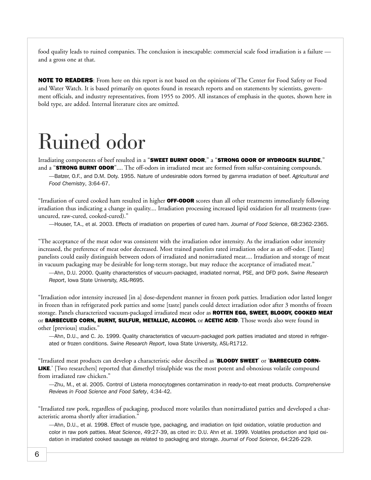food quality leads to ruined companies. The conclusion is inescapable: commercial scale food irradiation is a failure and a gross one at that.

NOTE TO READERS: From here on this report is not based on the opinions of The Center for Food Safety or Food and Water Watch. It is based primarily on quotes found in research reports and on statements by scientists, government officials, and industry representatives, from 1955 to 2005. All instances of emphasis in the quotes, shown here in bold type, are added. Internal literature cites are omitted.

## Ruined odor

Irradiating components of beef resulted in a "SWEET BURNT ODOR," a "STRONG ODOR OF HYDROGEN SULFIDE," and a "**STRONG BURNT ODOR**".... The off-odors in irradiated meat are formed from sulfur-containing compounds. —Batzer, O.F., and D.M. Doty. 1955. Nature of undesirable odors formed by gamma irradiation of beef. *Agricultural and Food Chemistry*, 3:64-67.

"Irradiation of cured cooked ham resulted in higher **OFF-ODOR** scores than all other treatments immediately following irradiation thus indicating a change in quality.... Irradiation processing increased lipid oxidation for all treatments (rawuncured, raw-cured, cooked-cured)."

—Houser, T.A., et al. 2003. Effects of irradiation on properties of cured ham. *Journal of Food Science*, 68:2362-2365.

"The acceptance of the meat odor was consistent with the irradiation odor intensity. As the irradiation odor intensity increased, the preference of meat odor decreased. Most trained panelists rated irradiation odor as an off-odor. [Taste] panelists could easily distinguish between odors of irradiated and nonirradiated meat.... Irradiation and storage of meat in vacuum packaging may be desirable for long-term storage, but may reduce the acceptance of irradiated meat."

—Ahn, D.U. 2000. Quality characteristics of vacuum-packaged, irradiated normal, PSE, and DFD pork. *Swine Research Report*, Iowa State University, ASL-R695.

"Irradiation odor intensity increased [in a] dose-dependent manner in frozen pork patties. Irradiation odor lasted longer in frozen than in refrigerated pork patties and some [taste] panels could detect irradiation odor after 3 months of frozen storage. Panels characterized vacuum-packaged irradiated meat odor as ROTTEN EGG, SWEET, BLOODY, COOKED MEAT or BARBECUED CORN, BURNT, SULFUR, METALLIC, ALCOHOL or ACETIC ACID. Those words also were found in other [previous] studies."

—Ahn, D.U., and C. Jo. 1999. Quality characteristics of vacuum-packaged pork patties irradiated and stored in refrigerated or frozen conditions. *Swine Research Report*, Iowa State University, ASL-R1712.

"Irradiated meat products can develop a characteristic odor described as 'BLOODY SWEET' or 'BARBECUED CORN-LIKE.' [Two researchers] reported that dimethyl trisulphide was the most potent and obnoxious volatile compound from irradiated raw chicken."

—Zhu, M., et al. 2005. Control of Listeria monocytogenes contamination in ready-to-eat meat products. *Comprehensive Reviews in Food Science and Food Safety*, 4:34-42.

"Irradiated raw pork, regardless of packaging, produced more volatiles than nonirradiated patties and developed a characteristic aroma shortly after irradiation."

—Ahn, D.U., et al. 1998. Effect of muscle type, packaging, and irradiation on lipid oxidation, volatile production and color in raw pork patties. *Meat Science*, 49:27-39, as cited in: D.U. Ahn et al. 1999. Volatiles production and lipid oxidation in irradiated cooked sausage as related to packaging and storage. *Journal of Food Science*, 64:226-229.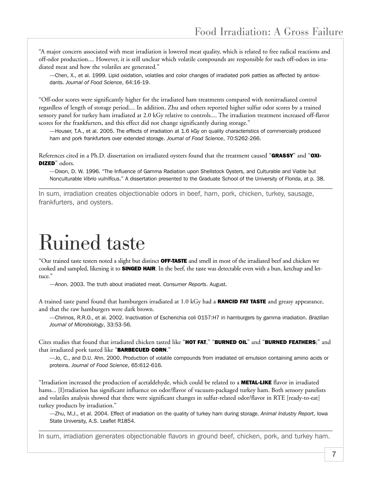"A major concern associated with meat irradiation is lowered meat quality, which is related to free radical reactions and off-odor production.... However, it is still unclear which volatile compounds are responsible for such off-odors in irradiated meat and how the volatiles are generated."

—Chen, X., et al. 1999. Lipid oxidation, volatiles and color changes of irradiated pork patties as affected by antioxidants. *Journal of Food Science*, 64:16-19.

"Off-odor scores were significantly higher for the irradiated ham treatments compared with nonirradiated control regardless of length of storage period.... In addition, Zhu and others reported higher sulfur odor scores by a trained sensory panel for turkey ham irradiated at 2.0 kGy relative to controls.... The irradiation treatment increased off-flavor scores for the frankfurters, and this effect did not change significantly during storage."

—Houser, T.A., et al. 2005. The effects of irradiation at 1.6 kGy on quality characteristics of commercially produced ham and pork frankfurters over extended storage. *Journal of Food Science*, 70:S262-266.

References cited in a Ph.D. dissertation on irradiated oysters found that the treatment caused "GRASSY" and "OXI-DIZED" odors.

—Dixon, D. W. 1996. "The Influence of Gamma Radiation upon Shellstock Oysters, and Culturable and Viable but Nonculturable *Vibrio vulnificus*." A dissertation presented to the Graduate School of the University of Florida, at p. 38.

In sum, irradiation creates objectionable odors in beef, ham, pork, chicken, turkey, sausage, frankfurters, and oysters.

### Ruined taste

"Our trained taste testers noted a slight but distinct **OFF-TASTE** and smell in most of the irradiated beef and chicken we cooked and sampled, likening it to **SINGED HAIR**. In the beef, the taste was detectable even with a bun, ketchup and lettuce."

—Anon. 2003. The truth about irradiated meat. *Consumer Reports*. August.

A trained taste panel found that hamburgers irradiated at 1.0 kGy had a RANCID FAT TASTE and greasy appearance, and that the raw hamburgers were dark brown.

—Chirinos, R.R.O., et al. 2002. Inactivation of Escherichia coli O157:H7 in hamburgers by gamma irradiation. *Brazilian Journal of Microbiology*, 33:53-56.

Cites studies that found that irradiated chicken tasted like "HOT FAT," "BURNED OIL" and "BURNED FEATHERS;" and that irradiated pork tasted like "**BARBECUED CORN**."

—Jo, C., and D.U. Ahn. 2000. Production of volatile compounds from irradiated oil emulsion containing amino acids or proteins. *Journal of Food Science*, 65:612-616.

"Irradiation increased the production of acetaldehyde, which could be related to a **METAL-LIKE** flavor in irradiated hams... [I]rradiation has significant influence on odor/flavor of vacuum-packaged turkey ham. Both sensory panelists and volatiles analysis showed that there were significant changes in sulfur-related odor/flavor in RTE [ready-to-eat] turkey products by irradiation."

—Zhu, M.J., et al. 2004. Effect of irradiation on the quality of turkey ham during storage. *Animal Industry Report*, Iowa State University, A.S. Leaflet R1854.

In sum, irradiation generates objectionable flavors in ground beef, chicken, pork, and turkey ham.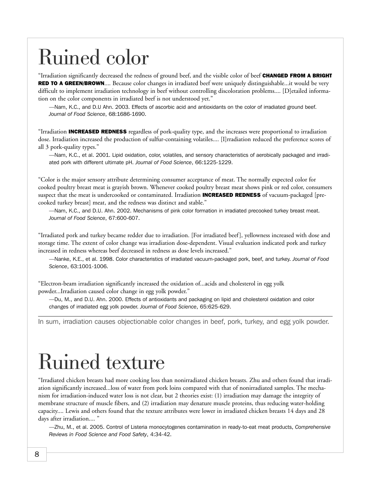## Ruined color

"Irradiation significantly decreased the redness of ground beef, and the visible color of beef **CHANGED FROM A BRIGHT** RED TO A GREEN/BROWN.... Because color changes in irradiated beef were uniquely distinguishable...it would be very difficult to implement irradiation technology in beef without controlling discoloration problems.... [D]etailed information on the color components in irradiated beef is not understood yet."

—Nam, K.C., and D.U Ahn. 2003. Effects of ascorbic acid and antioxidants on the color of irradiated ground beef. *Journal of Food Science*, 68:1686-1690.

"Irradiation INCREASED REDNESS regardless of pork-quality type, and the increases were proportional to irradiation dose. Irradiation increased the production of sulfur-containing volatiles.... [I]rradiation reduced the preference scores of all 3 pork-quality types."

—Nam, K.C., et al. 2001. Lipid oxidation, color, volatiles, and sensory characteristics of aerobically packaged and irradiated pork with different ultimate pH. *Journal of Food Science*, 66:1225-1229.

"Color is the major sensory attribute determining consumer acceptance of meat. The normally expected color for cooked poultry breast meat is grayish brown. Whenever cooked poultry breast meat shows pink or red color, consumers suspect that the meat is undercooked or contaminated. Irradiation **INCREASED REDNESS** of vacuum-packaged [precooked turkey breast] meat, and the redness was distinct and stable."

—Nam, K.C., and D.U. Ahn. 2002. Mechanisms of pink color formation in irradiated precooked turkey breast meat. *Journal of Food Science*, 67:600-607.

"Irradiated pork and turkey became redder due to irradiation. [For irradiated beef], yellowness increased with dose and storage time. The extent of color change was irradiation dose-dependent. Visual evaluation indicated pork and turkey increased in redness whereas beef decreased in redness as dose levels increased."

—Nanke, K.E., et al. 1998. Color characteristics of irradiated vacuum-packaged pork, beef, and turkey. *Journal of Food Science*, 63:1001-1006.

"Electron-beam irradiation significantly increased the oxidation of...acids and cholesterol in egg yolk powder...Irradiation caused color change in egg yolk powder."

—Du, M., and D.U. Ahn. 2000. Effects of antioxidants and packaging on lipid and cholesterol oxidation and color changes of irradiated egg yolk powder. *Journal of Food Science*, 65:625-629.

In sum, irradiation causes objectionable color changes in beef, pork, turkey, and egg yolk powder.

## Ruined texture

"Irradiated chicken breasts had more cooking loss than nonirradiated chicken breasts. Zhu and others found that irradiation significantly increased...loss of water from pork loins compared with that of nonirradiated samples. The mechanism for irradiation-induced water loss is not clear, but 2 theories exist: (1) irradiation may damage the integrity of membrane structure of muscle fibers, and (2) irradiation may denature muscle proteins, thus reducing water-holding capacity.... Lewis and others found that the texture attributes were lower in irradiated chicken breasts 14 days and 28 days after irradiation.... "

—Zhu, M., et al. 2005. Control of Listeria monocytogenes contamination in ready-to-eat meat products, *Comprehensive Reviews in Food Science and Food Safety*, 4:34-42.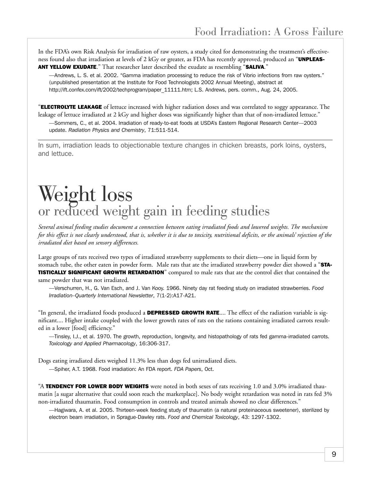In the FDA's own Risk Analysis for irradiation of raw oysters, a study cited for demonstrating the treatment's effectiveness found also that irradiation at levels of 2 kGy or greater, as FDA has recently approved, produced an "UNPLEAS-ANT YELLOW EXUDATE." That researcher later described the exudate as resembling "SALIVA."

—Andrews, L. S. et al. 2002. "Gamma irradiation processing to reduce the risk of Vibrio infections from raw oysters." (unpublished presentation at the Institute for Food Technologists 2002 Annual Meeting), abstract at http://ift.confex.com/ift/2002/techprogram/paper\_11111.htm; L.S. Andrews, pers. comm., Aug. 24, 2005.

**"ELECTROLYTE LEAKAGE** of lettuce increased with higher radiation doses and was correlated to soggy appearance. The leakage of lettuce irradiated at 2 kGy and higher doses was significantly higher than that of non-irradiated lettuce." —Sommers, C., et al. 2004. Irradiation of ready-to-eat foods at USDA's Eastern Regional Research Center—2003 update. *Radiation Physics and Chemistry*, 71:511-514.

In sum, irradiation leads to objectionable texture changes in chicken breasts, pork loins, oysters, and lettuce.

### Weight loss or reduced weight gain in feeding studies

*Several animal feeding studies document a connection between eating irradiated foods and lowered weights. The mechanism for this effect is not clearly understood, that is, whether it is due to toxicity, nutritional deficits, or the animals' rejection of the irradiated diet based on sensory differences.*

Large groups of rats received two types of irradiated strawberry supplements to their diets—one in liquid form by stomach tube, the other eaten in powder form. Male rats that ate the irradiated strawberry powder diet showed a "STA-TISTICALLY SIGNIFICANT GROWTH RETARDATION" compared to male rats that ate the control diet that contained the same powder that was not irradiated.

—Verschurren, H., G. Van Esch, and J. Van Kooy. 1966. Ninety day rat feeding study on irradiated strawberries. *Food Irradiation–Quarterly International Newsletter*, 7(1-2):A17-A21.

"In general, the irradiated foods produced a **DEPRESSED GROWTH RATE**.... The effect of the radiation variable is significant.... Higher intake coupled with the lower growth rates of rats on the rations containing irradiated carrots resulted in a lower [food] efficiency."

—Tinsley, I.J., et al. 1970. The growth, reproduction, longevity, and histopathology of rats fed gamma-irradiated carrots. *Toxicology and Applied Pharmacology*, 16:306-317.

Dogs eating irradiated diets weighed 11.3% less than dogs fed unirradiated diets.

—Spiher, A.T. 1968. Food irradiation: An FDA report. *FDA Papers*, Oct.

"A TENDENCY FOR LOWER BODY WEIGHTS were noted in both sexes of rats receiving  $1.0$  and  $3.0\%$  irradiated thaumatin [a sugar alternative that could soon reach the marketplace]. No body weight retardation was noted in rats fed 3% non-irradiated thaumatin. Food consumption in controls and treated animals showed no clear differences."

—Hagiwara, A. et al. 2005. Thirteen-week feeding study of thaumatin (a natural proteinaceous sweetener), sterilized by electron beam irradiation, in Sprague-Dawley rats. *Food and Chemical Toxicology*, 43: 1297-1302.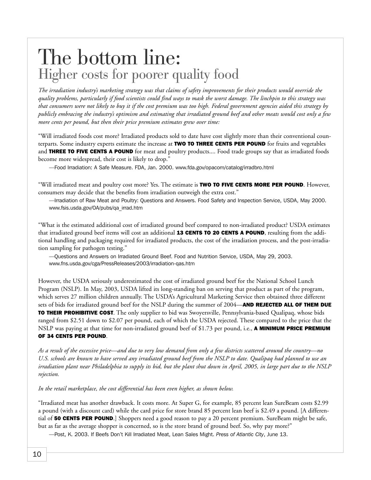### The bottom line: Higher costs for poorer quality food

*The irradiation industry's marketing strategy was that claims of safety improvements for their products would override the quality problems, particularly if food scientists could find ways to mask the worst damage. The linchpin to this strategy was that consumers were not likely to buy it if the cost premium was too high. Federal government agencies aided this strategy by publicly embracing the industry's optimism and estimating that irradiated ground beef and other meats would cost only a few more cents per pound, but then their price premium estimates grew over time:* 

"Will irradiated foods cost more? Irradiated products sold to date have cost slightly more than their conventional counterparts. Some industry experts estimate the increase at **TWO TO THREE CENTS PER POUND** for fruits and vegetables and THREE TO FIVE CENTS A POUND for meat and poultry products.... Food trade groups say that as irradiated foods become more widespread, their cost is likely to drop."

—Food Irradiation: A Safe Measure. FDA, Jan. 2000. www.fda.gov/opacom/catalog/irradbro.html

"Will irradiated meat and poultry cost more? Yes. The estimate is **TWO TO FIVE CENTS MORE PER POUND**. However, consumers may decide that the benefits from irradiation outweigh the extra cost."

—Irradiation of Raw Meat and Poultry: Questions and Answers. Food Safety and Inspection Service, USDA, May 2000. www.fsis.usda.gov/OA/pubs/qa\_irrad.htm

"What is the estimated additional cost of irradiated ground beef compared to non-irradiated product? USDA estimates that irradiated ground beef items will cost an additional 13 CENTS TO 20 CENTS A POUND, resulting from the additional handling and packaging required for irradiated products, the cost of the irradiation process, and the post-irradiation sampling for pathogen testing."

—Questions and Answers on Irradiated Ground Beef. Food and Nutrition Service, USDA, May 29, 2003. www.fns.usda.gov/cga/PressReleases/2003/irradiation-qas.htm

However, the USDA seriously underestimated the cost of irradiated ground beef for the National School Lunch Program (NSLP). In May, 2003, USDA lifted its long-standing ban on serving that product as part of the program, which serves 27 million children annually. The USDA's Agricultural Marketing Service then obtained three different sets of bids for irradiated ground beef for the NSLP during the summer of 2004-AND REJECTED ALL OF THEM DUE TO THEIR PROHIBITIVE COST. The only supplier to bid was Swoyersville, Pennsylvania-based Qualipaq, whose bids ranged from \$2.51 down to \$2.07 per pound, each of which the USDA rejected. These compared to the price that the NSLP was paying at that time for non-irradiated ground beef of \$1.73 per pound, i.e., **A MINIMUM PRICE PREMIUM** OF 34 CENTS PER POUND.

*As a result of the excessive price—and due to very low demand from only a few districts scattered around the country—no U.S. schools are known to have served any irradiated ground beef from the NSLP to date. Qualipaq had planned to use an irradiation plant near Philadelphia to supply its bid, but the plant shut down in April, 2005, in large part due to the NSLP rejection.* 

*In the retail marketplace, the cost differential has been even higher, as shown below.*

"Irradiated meat has another drawback. It costs more. At Super G, for example, 85 percent lean SureBeam costs \$2.99 a pound (with a discount card) while the card price for store brand 85 percent lean beef is \$2.49 a pound. [A differential of **50 CENTS PER POUND**.] Shoppers need a good reason to pay a 20 percent premium. SureBeam might be safe, but as far as the average shopper is concerned, so is the store brand of ground beef. So, why pay more?"

—Post, K. 2003. If Beefs Don't Kill Irradiated Meat, Lean Sales Might. *Press of Atlantic City*, June 13.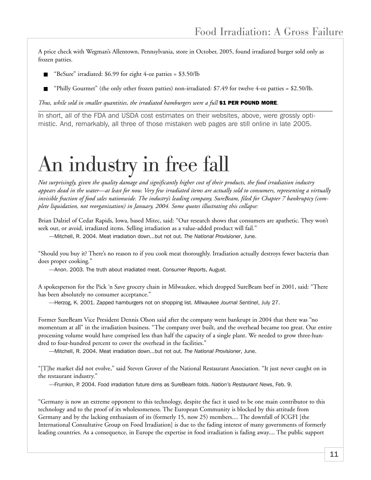A price check with Wegman's Allentown, Pennsylvania, store in October, 2005, found irradiated burger sold only as frozen patties.

- "BeSure" irradiated: \$6.99 for eight 4-oz patties = \$3.50/lb
- "Philly Gourmet" (the only other frozen patties) non-irradiated:  $$7.49$  for twelve 4-oz patties =  $$2.50/lb.$

*Thus, while sold in smaller quantities, the irradiated hamburgers were a full* \$1 PER POUND MORE*.* 

In short, all of the FDA and USDA cost estimates on their websites, above, were grossly optimistic. And, remarkably, all three of those mistaken web pages are still online in late 2005.

# An industry in free fall

*Not surprisingly, given the quality damage and significantly higher cost of their products, the food irradiation industry appears dead in the water—at least for now. Very few irradiated items are actually sold to consumers, representing a virtually invisible fraction of food sales nationwide. The industry's leading company, SureBeam, filed for Chapter 7 bankruptcy (complete liquidation, not reorganization) in January, 2004. Some quotes illustrating this collapse:*

Brian Dalziel of Cedar Rapids, Iowa, based Mitec, said: "Our research shows that consumers are apathetic. They won't seek out, or avoid, irradiated items. Selling irradiation as a value-added product will fail."

—Mitchell, R. 2004. Meat irradiation down...but not out. *The National Provisioner*, June.

"Should you buy it? There's no reason to if you cook meat thoroughly. Irradiation actually destroys fewer bacteria than does proper cooking."

—Anon. 2003. The truth about irradiated meat. *Consumer Reports*, August.

A spokesperson for the Pick 'n Save grocery chain in Milwaukee, which dropped SureBeam beef in 2001, said: "There has been absolutely no consumer acceptance."

—Herzog, K. 2001. Zapped hamburgers not on shopping list. *Milwaukee Journal Sentinel*, July 27.

Former SureBeam Vice President Dennis Olson said after the company went bankrupt in 2004 that there was "no momentum at all" in the irradiation business. "The company over built, and the overhead became too great. Our entire processing volume would have comprised less than half the capacity of a single plant. We needed to grow three-hundred to four-hundred percent to cover the overhead in the facilities."

—Mitchell, R. 2004. Meat irradiation down...but not out. *The National Provisioner*, June.

"[T]he market did not evolve," said Steven Grover of the National Restaurant Association. "It just never caught on in the restaurant industry."

—Frumkin, P. 2004. Food irradiation future dims as SureBeam folds. *Nation's Restaurant News*, Feb. 9.

"Germany is now an extreme opponent to this technology, despite the fact it used to be one main contributor to this technology and to the proof of its wholesomeness. The European Community is blocked by this attitude from Germany and by the lacking enthusiasm of its (formerly 15, now 25) members.... The downfall of ICGFI [the International Consultative Group on Food Irradiation] is due to the fading interest of many governments of formerly leading countries. As a consequence, in Europe the expertise in food irradiation is fading away.... The public support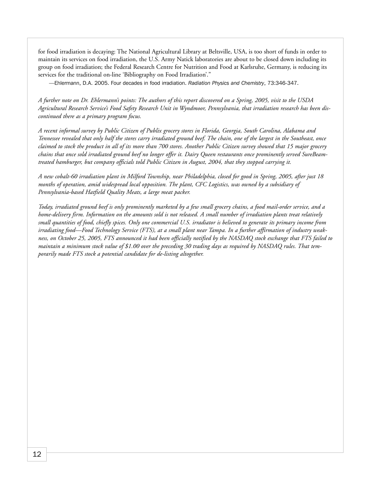for food irradiation is decaying: The National Agricultural Library at Beltsville, USA, is too short of funds in order to maintain its services on food irradiation, the U.S. Army Natick laboratories are about to be closed down including its group on food irradiation; the Federal Research Centre for Nutrition and Food at Karlsruhe, Germany, is reducing its services for the traditional on-line 'Bibliography on Food Irradiation'."

—Ehlermann, D.A. 2005. Four decades in food irradiation. *Radiation Physics and Chemistry*, 73:346-347.

*A further note on Dr. Ehlermann's points: The authors of this report discovered on a Spring, 2005, visit to the USDA Agricultural Research Service's Food Safety Research Unit in Wyndmoor, Pennsylvania, that irradiation research has been discontinued there as a primary program focus.*

*A recent informal survey by Public Citizen of Publix grocery stores in Florida, Georgia, South Carolina, Alabama and Tennessee revealed that only half the stores carry irradiated ground beef. The chain, one of the largest in the Southeast, once claimed to stock the product in all of its more than 700 stores. Another Public Citizen survey showed that 15 major grocery chains that once sold irradiated ground beef no longer offer it. Dairy Queen restaurants once prominently served SureBeamtreated hamburger, but company officials told Public Citizen in August, 2004, that they stopped carrying it.*

*A new cobalt-60 irradiation plant in Milford Township, near Philadelphia, closed for good in Spring, 2005, after just 18 months of operation, amid widespread local opposition. The plant, CFC Logistics, was owned by a subsidiary of Pennsylvania-based Hatfield Quality Meats, a large meat packer.* 

*Today, irradiated ground beef is only prominently marketed by a few small grocery chains, a food mail-order service, and a home-delivery firm. Information on the amounts sold is not released. A small number of irradiation plants treat relatively small quantities of food, chiefly spices. Only one commercial U.S. irradiator is believed to generate its primary income from irradiating food—Food Technology Service (FTS), at a small plant near Tampa. In a further affirmation of industry weakness, on October 25, 2005, FTS announced it had been officially notified by the NASDAQ stock exchange that FTS failed to maintain a minimum stock value of \$1.00 over the preceding 30 trading days as required by NASDAQ rules. That temporarily made FTS stock a potential candidate for de-listing altogether.*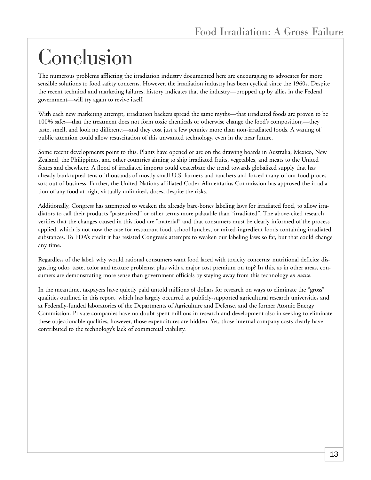# **Conclusion**

The numerous problems afflicting the irradiation industry documented here are encouraging to advocates for more sensible solutions to food safety concerns. However, the irradiation industry has been cyclical since the 1960s. Despite the recent technical and marketing failures, history indicates that the industry—propped up by allies in the Federal government—will try again to revive itself.

With each new marketing attempt, irradiation backers spread the same myths—that irradiated foods are proven to be 100% safe;—that the treatment does not form toxic chemicals or otherwise change the food's composition;—they taste, smell, and look no different;—and they cost just a few pennies more than non-irradiated foods. A waning of public attention could allow resuscitation of this unwanted technology, even in the near future.

Some recent developments point to this. Plants have opened or are on the drawing boards in Australia, Mexico, New Zealand, the Philippines, and other countries aiming to ship irradiated fruits, vegetables, and meats to the United States and elsewhere. A flood of irradiated imports could exacerbate the trend towards globalized supply that has already bankrupted tens of thousands of mostly small U.S. farmers and ranchers and forced many of our food processors out of business. Further, the United Nations-affiliated Codex Alimentarius Commission has approved the irradiation of any food at high, virtually unlimited, doses, despite the risks.

Additionally, Congress has attempted to weaken the already bare-bones labeling laws for irradiated food, to allow irradiators to call their products "pasteurized" or other terms more palatable than "irradiated". The above-cited research verifies that the changes caused in this food are "material" and that consumers must be clearly informed of the process applied, which is not now the case for restaurant food, school lunches, or mixed-ingredient foods containing irradiated substances. To FDA's credit it has resisted Congress's attempts to weaken our labeling laws so far, but that could change any time.

Regardless of the label, why would rational consumers want food laced with toxicity concerns; nutritional deficits; disgusting odor, taste, color and texture problems; plus with a major cost premium on top? In this, as in other areas, consumers are demonstrating more sense than government officials by staying away from this technology *en masse*.

In the meantime, taxpayers have quietly paid untold millions of dollars for research on ways to eliminate the "gross" qualities outlined in this report, which has largely occurred at publicly-supported agricultural research universities and at Federally-funded laboratories of the Departments of Agriculture and Defense, and the former Atomic Energy Commission. Private companies have no doubt spent millions in research and development also in seeking to eliminate these objectionable qualities, however, those expenditures are hidden. Yet, those internal company costs clearly have contributed to the technology's lack of commercial viability.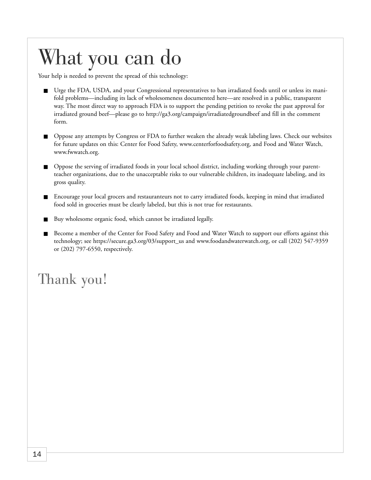# What you can do

Your help is needed to prevent the spread of this technology:

- Urge the FDA, USDA, and your Congressional representatives to ban irradiated foods until or unless its manifold problems—including its lack of wholesomeness documented here—are resolved in a public, transparent way. The most direct way to approach FDA is to support the pending petition to revoke the past approval for irradiated ground beef—please go to http://ga3.org/campaign/irradiatedgroundbeef and fill in the comment form.
- Oppose any attempts by Congress or FDA to further weaken the already weak labeling laws. Check our websites for future updates on this: Center for Food Safety, www.centerforfoodsafety.org, and Food and Water Watch, www.fwwatch.org.
- Oppose the serving of irradiated foods in your local school district, including working through your parentteacher organizations, due to the unacceptable risks to our vulnerable children, its inadequate labeling, and its gross quality.
- Encourage your local grocers and restauranteurs not to carry irradiated foods, keeping in mind that irradiated food sold in groceries must be clearly labeled, but this is not true for restaurants.
- Buy wholesome organic food, which cannot be irradiated legally.
- Become a member of the Center for Food Safety and Food and Water Watch to support our efforts against this technology; see https://secure.ga3.org/03/support\_us and www.foodandwaterwatch.org, or call (202) 547-9359 or (202) 797-6550, respectively.

### Thank you!